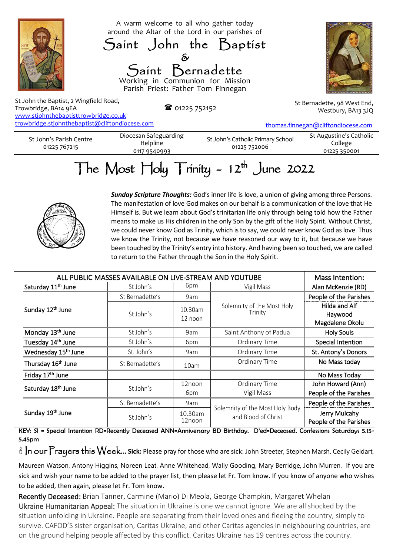

www.stjohnthebaptisttrowbridge.co.uk [trowbridge.stjohnthebaptist@cliftondiocese.com](about:blank)

[thomas.finnegan@cliftondiocese.com](about:blank)

| St John's Parish Centre |  |
|-------------------------|--|
| 01225 767215            |  |

Diocesan Safeguarding Helpline 0117 9540993

St John's Catholic Primary School 01225 752006 St Augustine's Catholic College 01225 350001

## The Most  $\text{Hol}_y$  Trinity - 12<sup>th</sup> June 2022



*Sunday Scripture Thoughts:* God's inner life is love, a union of giving among three Persons. The manifestation of love God makes on our behalf is a communication of the love that He Himself is. But we learn about God's trinitarian life only through being told how the Father means to make us His children in the only Son by the gift of the Holy Spirit. Without Christ, we could never know God as Trinity, which is to say, we could never know God as love. Thus we know the Trinity, not because we have reasoned our way to it, but because we have been touched by the Trinity's entry into history. And having been so touched, we are called to return to the Father through the Son in the Holy Spirit.

| ALL PUBLIC MASSES AVAILABLE ON LIVE-STREAM AND YOUTUBE |                 |                      |                                                        | Mass Intention:                             |
|--------------------------------------------------------|-----------------|----------------------|--------------------------------------------------------|---------------------------------------------|
| Saturday 11 <sup>th</sup> June                         | St John's       | 6pm                  | Vigil Mass                                             | Alan McKenzie (RD)                          |
| Sunday 12th June                                       | St Bernadette's | 9am                  |                                                        | People of the Parishes                      |
|                                                        | St John's       | 10.30am<br>$12$ noon | Solemnity of the Most Holy<br>Trinity                  | Hilda and Alf<br>Haywood<br>Magdalene Okolu |
| Monday 13 <sup>th</sup> June                           | St John's       | 9am                  | Saint Anthony of Padua                                 | <b>Holy Souls</b>                           |
| Tuesday 14th June                                      | St John's       | 6pm                  | Ordinary Time                                          | Special Intention                           |
| Wednesday 15 <sup>th</sup> June                        | St. John's      | 9am                  | Ordinary Time                                          | St. Antony's Donors                         |
| Thursday 16 <sup>th</sup> June                         | St Bernadette's | 10am                 | Ordinary Time                                          | No Mass today                               |
| Friday 17 <sup>th</sup> June                           |                 |                      |                                                        | No Mass Today                               |
| Saturday 18 <sup>th</sup> June                         | St John's       | 12noon<br>6pm        | Ordinary Time                                          | John Howard (Ann)                           |
|                                                        |                 |                      | Vigil Mass                                             | People of the Parishes                      |
| Sunday 19th June                                       | St Bernadette's | 9am                  | Solemnity of the Most Holy Body<br>and Blood of Christ | People of the Parishes                      |
|                                                        | St John's       | 10.30am<br>12noon    |                                                        | Jerry Mulcahy<br>People of the Parishes     |

KEY: SI = Special Intention RD=Recently Deceased ANN=Anniversary BD Birthday. D'ed=Deceased. Confessions Saturdays 5.15- 5.45pm

In our Prayers this Week... **Sick:** Please pray for those who are sick: John Streeter, Stephen Marsh. Cecily Geldart,

Maureen Watson, Antony Higgins, Noreen Leat, Anne Whitehead, Wally Gooding, Mary Berridge, John Murren, If you are sick and wish your name to be added to the prayer list, then please let Fr. Tom know. If you know of anyone who wishes to be added, then again, please let Fr. Tom know.

Recently Deceased: Brian Tanner, Carmine (Mario) Di Meola, George Champkin, Margaret Whelan Ukraine Humanitarian Appeal: The situation in Ukraine is one we cannot ignore. We are all shocked by the situation unfolding in Ukraine. People are separating from their loved ones and fleeing the country, simply to survive. CAFOD'S sister organisation, Caritas Ukraine, and other Caritas agencies in neighbouring countries, are on the ground helping people affected by this conflict. Caritas Ukraine has 19 centres across the country.